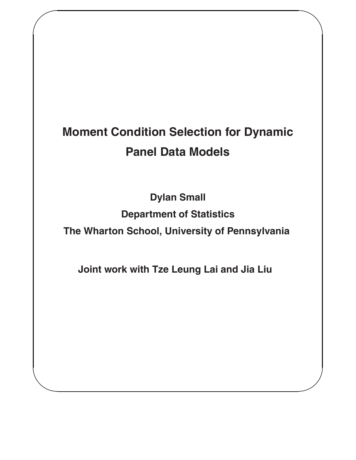# **Moment Condition Selection for Dynamic Panel Data Models**

 $\overline{\phantom{a}}$ 

✫

**Dylan Small Department of Statistics The Wharton School, University of Pennsylvania**

**Joint work with Tze Leung Lai and Jia Liu**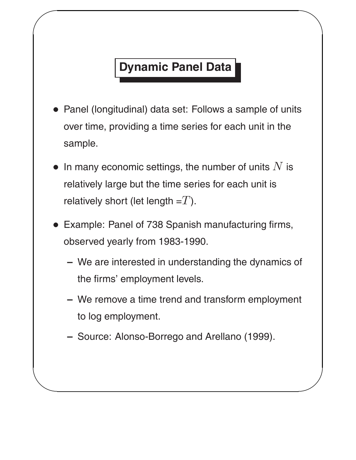## **Dynamic Panel Data**

 $\overline{\phantom{a}}$ 

- Panel (longitudinal) data set: Follows a sample of units over time, providing a time series for each unit in the sample.
- In many economic settings, the number of units  $N$  is relatively large but the time series for each unit is relatively short (let length  $=T$ ).
- Example: Panel of 738 Spanish manufacturing firms, observed yearly from 1983-1990.
	- **–** We are interested in understanding the dynamics of the firms' employment levels.
	- **–** We remove a time trend and transform employment to log employment.
	- **–** Source: Alonso-Borrego and Arellano (1999).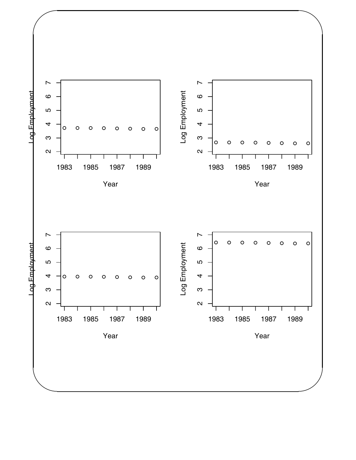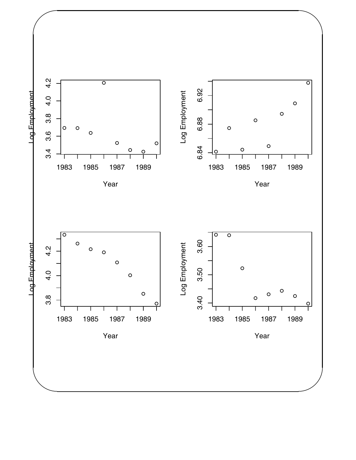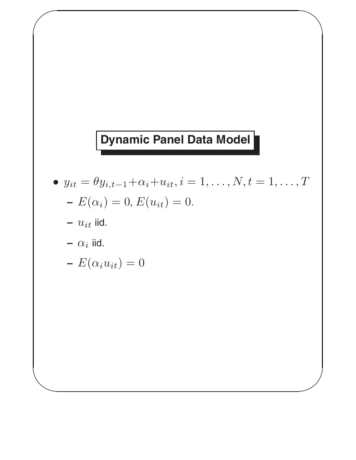# **Dynamic Panel Data Model**

• 
$$
y_{it} = \theta y_{i,t-1} + \alpha_i + u_{it}, i = 1, ..., N, t = 1, ..., T
$$
  
\n-  $E(\alpha_i) = 0, E(u_{it}) = 0.$ 

 $u_{it}$  iid.

 $\overline{\phantom{a}}$ 

 $- \alpha_i$  iid.

$$
- E(\alpha_i u_{it}) = 0
$$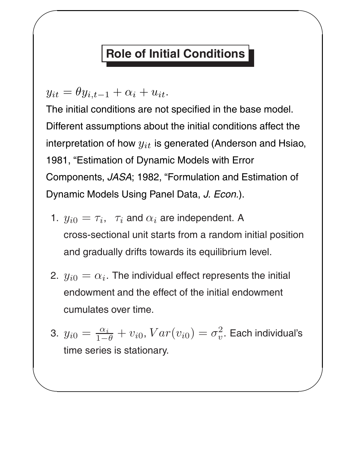## **Role of Initial Conditions**

 $y_{it} = \theta y_{i,t-1} + \alpha_i + u_{it}.$ 

 $\overline{\phantom{a}}$ 

✫

The initial conditions are not specified in the base model. Different assumptions about the initial conditions affect the interpretation of how  $y_{it}$  is generated (Anderson and Hsiao, 1981, "Estimation of Dynamic Models with Error Components, *JASA*; 1982, "Formulation and Estimation of Dynamic Models Using Panel Data, *J. Econ.*).

- 1.  $y_{i0} = \tau_i$ ,  $\tau_i$  and  $\alpha_i$  are independent. A cross-sectional unit starts from a random initial position and gradually drifts towards its equilibrium level.
- 2.  $y_{i0} = \alpha_i$ . The individual effect represents the initial endowment and the effect of the initial endowment cumulates over time.
- 3.  $y_{i0} = \frac{\alpha_i}{1-\theta} + v_{i0}$ ,  $Var(v_{i0}) = \sigma_v^2$ . Each individual's time series is stationary.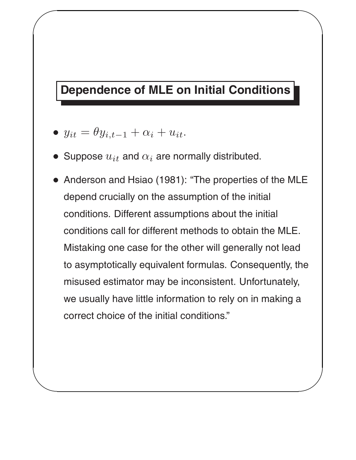#### **Dependence of MLE on Initial Conditions**

•  $y_{it} = \theta y_{i,t-1} + \alpha_i + u_{it}.$ 

 $\overline{\phantom{a}}$ 

- Suppose  $u_{it}$  and  $\alpha_i$  are normally distributed.
- Anderson and Hsiao (1981): "The properties of the MLE depend crucially on the assumption of the initial conditions. Different assumptions about the initial conditions call for different methods to obtain the MLE. Mistaking one case for the other will generally not lead to asymptotically equivalent formulas. Consequently, the misused estimator may be inconsistent. Unfortunately, we usually have little information to rely on in making a correct choice of the initial conditions."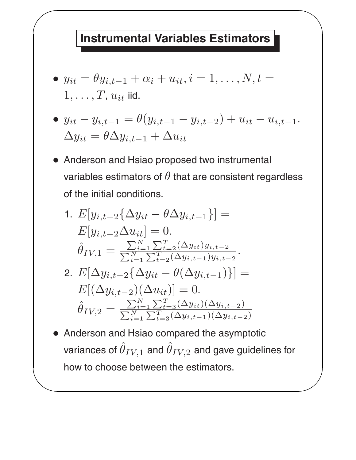#### **Instrumental Variables Estimators**

•  $y_{it} = \theta y_{i,t-1} + \alpha_i + u_{it}, i = 1, ..., N, t =$  $1,\ldots,T$ ,  $u_{it}$  iid.

 $\overline{\phantom{a}}$ 

✫

- $y_{it} y_{i,t-1} = \theta(y_{i,t-1} y_{i,t-2}) + u_{it} u_{i,t-1}.$  $\Delta y_{it} = \theta \Delta y_{i,t-1} + \Delta u_{it}$
- Anderson and Hsiao proposed two instrumental variables estimators of  $\theta$  that are consistent regardless of the initial conditions.

1. 
$$
E[y_{i,t-2}\{\Delta y_{it} - \theta \Delta y_{i,t-1}\}] =
$$

$$
E[y_{i,t-2}\Delta u_{it}] = 0.
$$

$$
\hat{\theta}_{IV,1} = \frac{\sum_{i=1}^{N} \sum_{t=2}^{T} (\Delta y_{it}) y_{i,t-2}}{\sum_{i=1}^{N} \sum_{t=2}^{T} (\Delta y_{i,t-1}) y_{i,t-2}}.
$$
  
2. 
$$
E[\Delta y_{i,t-2}\{\Delta y_{it} - \theta(\Delta y_{i,t-1})\}] =
$$

$$
E[(\Delta y_{i,t-2})(\Delta u_{it})] = 0.
$$

$$
\hat{\theta}_{IV,2} = \frac{\sum_{i=1}^{N} \sum_{t=3}^{T} (\Delta y_{it})(\Delta y_{i,t-2})}{\sum_{i=1}^{N} \sum_{t=3}^{T} (\Delta y_{i,t-1})(\Delta y_{i,t-2})}
$$

• Anderson and Hsiao compared the asymptotic variances of  $\hat{\theta}_{IV,1}$  and  $\hat{\theta}_{IV,2}$  and gave guidelines for how to choose between the estimators.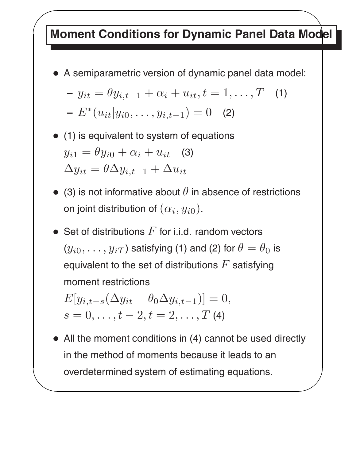## **Moment Conditions for Dynamic Panel Data Model**

• A semiparametric version of dynamic panel data model:

$$
- y_{it} = \theta y_{i,t-1} + \alpha_i + u_{it}, t = 1, ..., T \quad (1)
$$

$$
- E^*(u_{it}|y_{i0}, ..., y_{i,t-1}) = 0 \quad (2)
$$

• (1) is equivalent to system of equations  $y_{i1} = \theta y_{i0} + \alpha_i + u_{it}$  (3)  $\Delta y_{it} = \theta \Delta y_{i,t-1} + \Delta u_{it}$ 

 $\overline{\phantom{a}}$ 

✫

- (3) is not informative about  $\theta$  in absence of restrictions on joint distribution of  $(\alpha_i, y_{i0})$ .
- Set of distributions  $F$  for i.i.d. random vectors  $(y_{i0},\ldots,y_{iT})$  satisfying (1) and (2) for  $\theta=\theta_0$  is equivalent to the set of distributions  $F$  satisfying moment restrictions

$$
E[y_{i,t-s}(\Delta y_{it} - \theta_0 \Delta y_{i,t-1})] = 0,
$$
  

$$
s = 0, \ldots, t-2, t = 2, \ldots, T
$$
 (4)

• All the moment conditions in (4) cannot be used directly in the method of moments because it leads to an overdetermined system of estimating equations.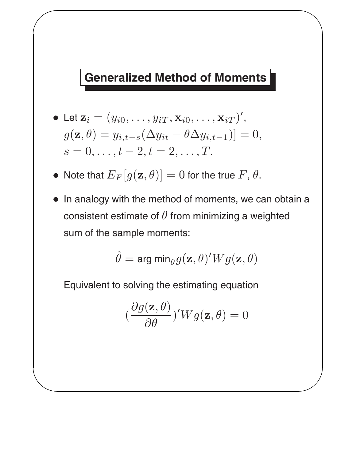#### **Generalized Method of Moments**

• Let  $z_i = (y_{i0}, \ldots, y_{iT}, x_{i0}, \ldots, x_{iT})'$ ,<br> $(z_i, z_i)$  $g(\mathbf{z}, \theta) = y_{i,t-s}(\Delta y_{it} - \theta \Delta y_{i,t-1})] = 0,$  $s = 0, \ldots, t - 2, t = 2, \ldots, T$ .

 $\overline{\phantom{a}}$ 

✫

- Note that  $E_F[g(\mathbf{z}, \theta)] = 0$  for the true  $F$ ,  $\theta$ .
- In analogy with the method of moments, we can obtain a consistent estimate of  $\theta$  from minimizing a weighted sum of the sample moments:

$$
\hat{\theta} = \text{arg min}_{\theta} g(\mathbf{z}, \theta)' W g(\mathbf{z}, \theta)
$$

Equivalent to solving the estimating equation

$$
\left(\frac{\partial g(\mathbf{z}, \theta)}{\partial \theta}\right)' W g(\mathbf{z}, \theta) = 0
$$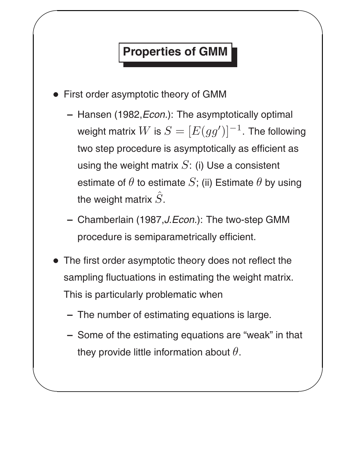#### **Properties of GMM**

First order asymptotic theory of GMM

 $\overline{\phantom{a}}$ 

- **–** Hansen (1982,*Econ.*): The asymptotically optimal weight matrix  $W$  is  $S = [E(gg')]^{-1}$ . The following two step procedure is asymptotically as efficient as using the weight matrix  $S$ : (i) Use a consistent estimate of  $\theta$  to estimate  $S$ ; (ii) Estimate  $\theta$  by using the weight matrix  $\hat{S}$ .
- **–** Chamberlain (1987,*J.Econ.*): The two-step GMM procedure is semiparametrically efficient.
- The first order asymptotic theory does not reflect the sampling fluctuations in estimating the weight matrix. This is particularly problematic when
	- **–** The number of estimating equations is large.
	- **–** Some of the estimating equations are "weak" in that they provide little information about  $\theta$ .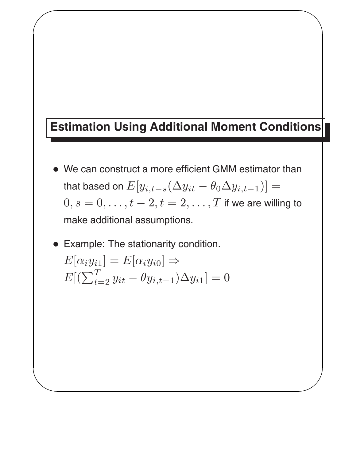#### **Estimation Using Additional Moment Conditions**

- We can construct a more efficient GMM estimator than that based on  $E[y_{i,t-s}(\Delta y_{it} - \theta_0 \Delta y_{i,t-1})] =$  $0, s = 0, \ldots, t - 2, t = 2, \ldots, T$  if we are willing to make additional assumptions.
- Example: The stationarity condition.  $E[\alpha_i y_{i1}] = E[\alpha_i y_{i0}] \Rightarrow$  $E[(\sum$ T  $\sum_{t=2}^{T} y_{it} - \theta y_{i,t-1} \Delta y_{i1} = 0$

 $\overline{\phantom{a}}$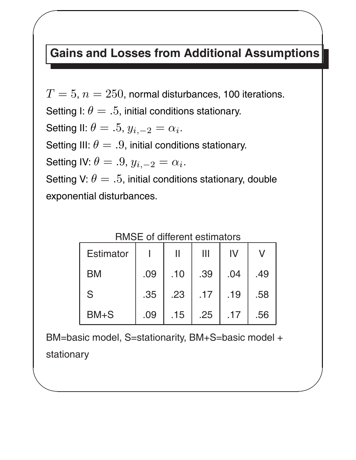#### **Gains and Losses from Additional Assumptions**

 $T=5$ ,  $n=250$ , normal disturbances, 100 iterations.

Setting I:  $\theta = .5$ , initial conditions stationary.

Setting II:  $\theta = .5$ ,  $y_{i,-2} = \alpha_i$ .

Setting III:  $\theta = .9$ , initial conditions stationary.

Setting IV:  $\theta = .9$ ,  $y_{i,-2} = \alpha_i$ .

Setting V:  $\theta = .5$ , initial conditions stationary, double exponential disturbances.

| <b>Estimator</b> |     |     | $\mathbf{III}$ | IV  |     |
|------------------|-----|-----|----------------|-----|-----|
| <b>BM</b>        | .09 | .10 | .39            | .04 | .49 |
| S                | .35 | .23 | .17            | .19 | .58 |
| BM+S             | .09 | .15 | .25            | .17 | .56 |

#### RMSE of different estimators

BM=basic model, S=stationarity, BM+S=basic model +

stationary

✫

 $\overline{\phantom{a}}$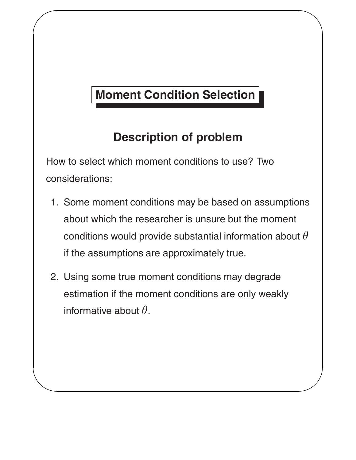# **Moment Condition Selection**

 $\overline{\phantom{a}}$ 

✫

## **Description of problem**

How to select which moment conditions to use? Two considerations:

- 1. Some moment conditions may be based on assumptions about which the researcher is unsure but the moment conditions would provide substantial information about  $\theta$ if the assumptions are approximately true.
- 2. Using some true moment conditions may degrade estimation if the moment conditions are only weakly informative about  $\theta$ .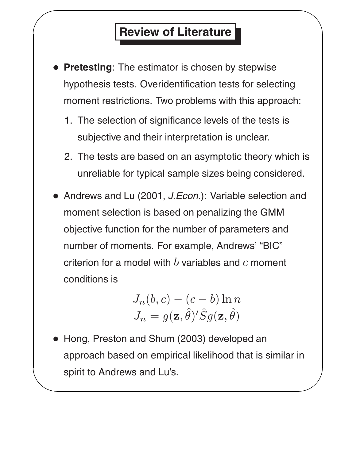#### **Review of Literature**

 $\overline{\phantom{a}}$ 

✫

- **Pretesting**: The estimator is chosen by stepwise hypothesis tests. Overidentification tests for selecting moment restrictions. Two problems with this approach:
	- 1. The selection of significance levels of the tests is subjective and their interpretation is unclear.
	- 2. The tests are based on an asymptotic theory which is unreliable for typical sample sizes being considered.
- Andrews and Lu (2001, *J.Econ.*): Variable selection and moment selection is based on penalizing the GMM objective function for the number of parameters and number of moments. For example, Andrews' "BIC" criterion for a model with  $b$  variables and  $c$  moment conditions is

$$
J_n(b, c) - (c - b) \ln n
$$
  

$$
J_n = g(\mathbf{z}, \hat{\theta})' \hat{S} g(\mathbf{z}, \hat{\theta})
$$

• Hong, Preston and Shum (2003) developed an approach based on empirical likelihood that is similar in spirit to Andrews and Lu's.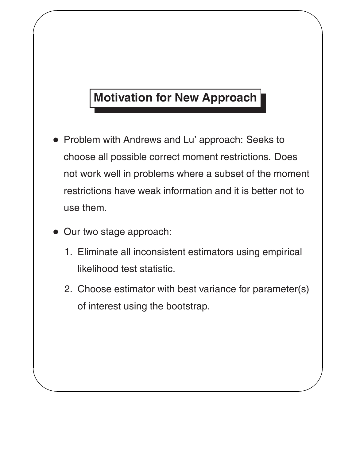## **Motivation for New Approach**

- Problem with Andrews and Lu' approach: Seeks to choose all possible correct moment restrictions. Does not work well in problems where a subset of the moment restrictions have weak information and it is better not to use them.
- Our two stage approach:

 $\overline{\phantom{a}}$ 

- 1. Eliminate all inconsistent estimators using empirical likelihood test statistic.
- 2. Choose estimator with best variance for parameter(s) of interest using the bootstrap.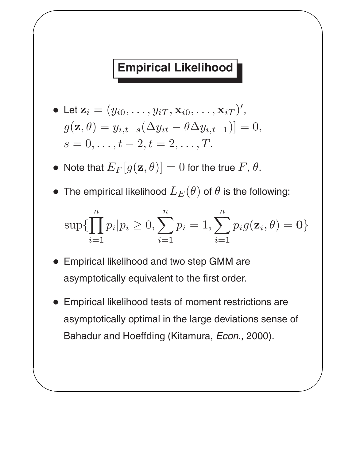#### **Empirical Likelihood**

• Let **<sup>z</sup>**<sup>i</sup> = (y<sup>i</sup>0,...,yiT , **<sup>x</sup>**<sup>i</sup>0,..., **<sup>x</sup>**iT ) ,  $g(\mathbf{z}, \theta) = y_{i,t-s}(\Delta y_{it} - \theta \Delta y_{i,t-1})] = 0,$  $s = 0, \ldots, t - 2, t = 2, \ldots, T$ .

 $\overline{\phantom{a}}$ 

- Note that  $E_F[g(\mathbf{z}, \theta)] = 0$  for the true  $F$ ,  $\theta$ .
- The empirical likelihood  $L_E(\theta)$  of  $\theta$  is the following:

$$
\sup\{\prod_{i=1}^{n} p_i | p_i \ge 0, \sum_{i=1}^{n} p_i = 1, \sum_{i=1}^{n} p_i g(\mathbf{z}_i, \theta) = \mathbf{0}\}\
$$

- Empirical likelihood and two step GMM are asymptotically equivalent to the first order.
- Empirical likelihood tests of moment restrictions are asymptotically optimal in the large deviations sense of Bahadur and Hoeffding (Kitamura, *Econ.*, 2000).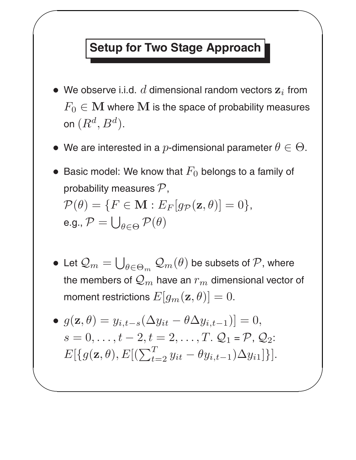## **Setup for Two Stage Approach**

 $\overline{\phantom{a}}$ 

✫

- We observe i.i.d.  $d$  dimensional random vectors  $z_i$  from  $F_0 \in \mathbf{M}$  where  $\mathbf{M}$  is the space of probability measures on  $(R^d, B^d)$ .
- We are interested in a  $p$ -dimensional parameter  $\theta \in \Theta$ .

• Basic model: We know that  $F_0$  belongs to a family of probability measures  $P$ ,  $\mathcal{P}(\theta) = \{F \in \mathbf{M} : E_F[q_{\mathcal{P}}(\mathbf{z}, \theta)] = 0\},\$ e.g.,  $P = \bigcup_{\theta \in \Theta} \mathcal{P}(\theta)$ 

- $\bullet\,$  Let  $\mathcal{Q}_m=\bigcup_{\theta\in\Theta_m}\mathcal{Q}_m(\theta)$  be subsets of  $\mathcal P,$  where the members of  $\mathcal{Q}_m$  have an  $r_m$  dimensional vector of moment restrictions  $E[g_m(\mathbf{z},\theta)] = 0.$
- $q(\mathbf{z}, \theta) = y_{i,t-s}(\Delta y_{it} \theta \Delta y_{i,t-1})$ ] = 0,  $s = 0, \ldots, t - 2, t = 2, \ldots, T$ .  $Q_1 = P$ ,  $Q_2$ :  $E[\{g(\mathbf{z}, \theta), E[(\sum$  $\overline{T}$  $\sum_{t=2}^{T} y_{it} - \theta y_{i,t-1} \Delta y_{i1}$ ]}].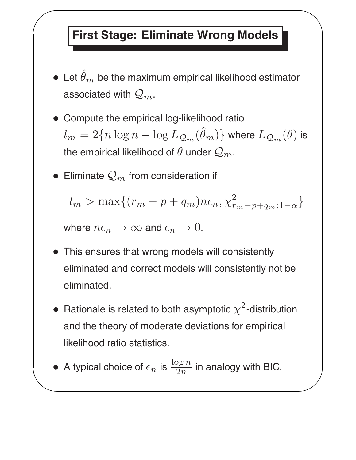## **First Stage: Eliminate Wrong Models**

- Let  $\hat{\theta}_m$  be the maximum empirical likelihood estimator associated with  $\mathcal{Q}_m$ .
- Compute the empirical log-likelihood ratio  $l_m = 2\{n \log n - \log L_{\mathcal{Q}_m}(\hat{\theta}_m)\}$  where  $L_{\mathcal{Q}_m}(\theta)$  is the empirical likelihood of  $\theta$  under  $\mathcal{Q}_m$ .
- Eliminate  $\mathcal{Q}_m$  from consideration if

 $\overline{\phantom{a}}$ 

✫

$$
l_m > \max\{(r_m - p + q_m)n\epsilon_n, \chi^2_{r_m - p + q_m; 1 - \alpha}\}\
$$

where  $n\epsilon_n \to \infty$  and  $\epsilon_n \to 0$ .

- This ensures that wrong models will consistently eliminated and correct models will consistently not be eliminated.
- Rationale is related to both asymptotic  $\chi^2$ -distribution and the theory of moderate deviations for empirical likelihood ratio statistics.
- A typical choice of  $\epsilon_n$  is  $\frac{\log n}{2n}$  $\frac{\log n}{2n}$  in analogy with BIC.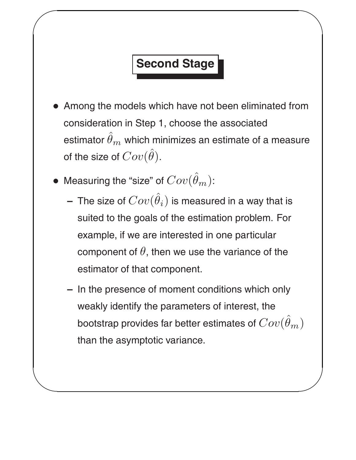## **Second Stage**

- Among the models which have not been eliminated from consideration in Step 1, choose the associated estimator  $\hat{\theta}_m$  which minimizes an estimate of a measure of the size of  $Cov(\hat{\theta})$ .
- Measuring the "size" of  $Cov(\hat{\theta}_m)$ :

 $\overline{\phantom{a}}$ 

- **–** The size of  $Cov(\hat{\theta}_i)$  is measured in a way that is suited to the goals of the estimation problem. For example, if we are interested in one particular component of  $\theta$ , then we use the variance of the estimator of that component.
- **–** In the presence of moment conditions which only weakly identify the parameters of interest, the bootstrap provides far better estimates of  $Cov(\hat{\theta}_m)$ than the asymptotic variance.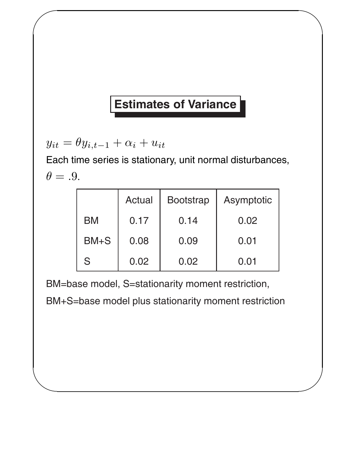## **Estimates of Variance**

$$
y_{it} = \theta y_{i,t-1} + \alpha_i + u_{it}
$$

 $\overline{\phantom{a}}$ 

✫

Each time series is stationary, unit normal disturbances,  $\theta = .9.$ 

|           | Actual | <b>Bootstrap</b> | Asymptotic |
|-----------|--------|------------------|------------|
| <b>BM</b> | 0.17   | 0.14             | 0.02       |
| $BM + S$  | 0.08   | 0.09             | 0.01       |
| S         | 0.02   | 0.02             | 0.01       |

BM=base model, S=stationarity moment restriction,

BM+S=base model plus stationarity moment restriction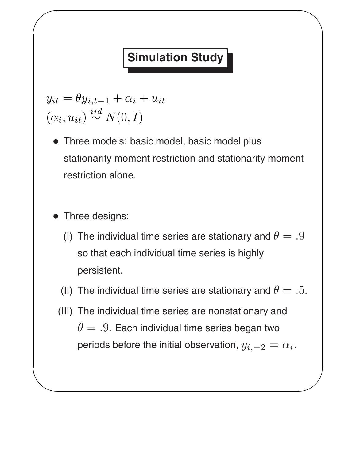#### **Simulation Study**

 $y_{it} = \theta y_{i,t-1} + \alpha_i + u_{it}$  $(\alpha_i, u_{it}) \stackrel{iid}{\sim} N(0, I)$ 

 $\overline{\phantom{a}}$ 

- Three models: basic model, basic model plus stationarity moment restriction and stationarity moment restriction alone.
- Three designs:

- (I) The individual time series are stationary and  $\theta = .9$ so that each individual time series is highly persistent.
- (II) The individual time series are stationary and  $\theta = .5$ .
- (III) The individual time series are nonstationary and  $\theta = .9$ . Each individual time series began two periods before the initial observation,  $y_{i,-2} = \alpha_i$ .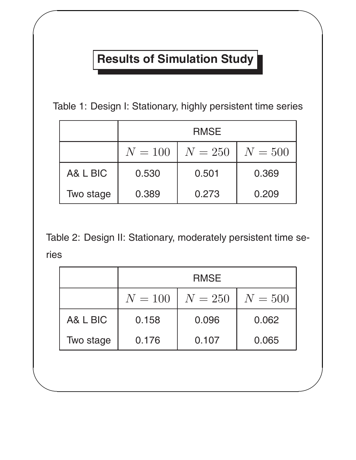## **Results of Simulation Study**

 $\overline{\phantom{a}}$ 

✫

Table 1: Design I: Stationary, highly persistent time series

|           | <b>RMSE</b> |           |           |  |
|-----------|-------------|-----------|-----------|--|
|           | $N = 100$   | $N = 250$ | $N = 500$ |  |
| A& L BIC  | 0.530       | 0.501     | 0.369     |  |
| Two stage | 0.389       | 0.273     | 0.209     |  |

Table 2: Design II: Stationary, moderately persistent time series

|           | <b>RMSE</b> |           |         |  |
|-----------|-------------|-----------|---------|--|
|           | $N = 100$   | $N = 250$ | $N=500$ |  |
| A& L BIC  | 0.158       | 0.096     | 0.062   |  |
| Two stage | 0.176       | 0.107     | 0.065   |  |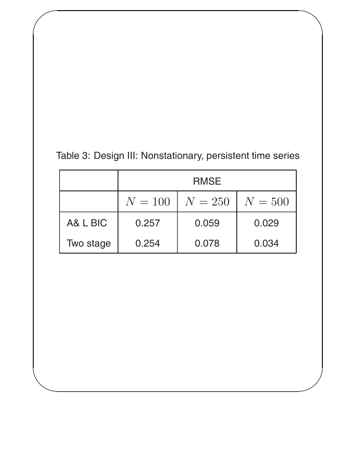|           | <b>RMSE</b> |           |         |  |
|-----------|-------------|-----------|---------|--|
|           | $N=100$     | $N = 250$ | $N=500$ |  |
| A& L BIC  | 0.257       | 0.059     | 0.029   |  |
| Two stage | 0.254       | 0.078     | 0.034   |  |

## Table 3: Design III: Nonstationary, persistent time series

 $\overline{\phantom{a}}$